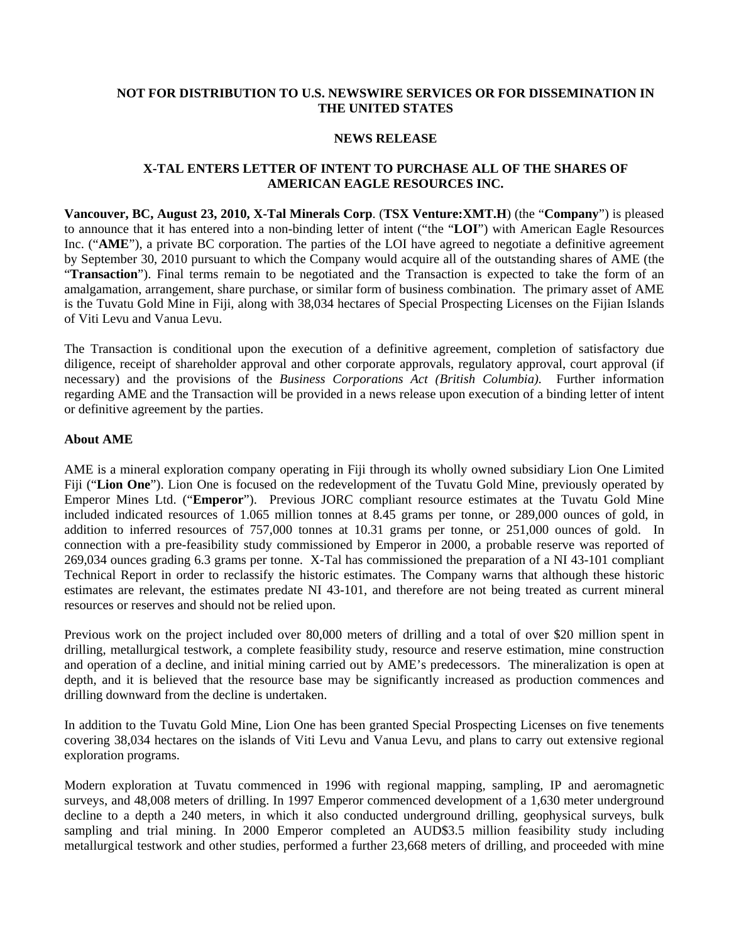### **NOT FOR DISTRIBUTION TO U.S. NEWSWIRE SERVICES OR FOR DISSEMINATION IN THE UNITED STATES**

#### **NEWS RELEASE**

# **X-TAL ENTERS LETTER OF INTENT TO PURCHASE ALL OF THE SHARES OF AMERICAN EAGLE RESOURCES INC.**

**Vancouver, BC, August 23, 2010, X-Tal Minerals Corp**. (**TSX Venture:XMT.H**) (the "**Company**") is pleased to announce that it has entered into a non-binding letter of intent ("the "**LOI**") with American Eagle Resources Inc. ("**AME**"), a private BC corporation. The parties of the LOI have agreed to negotiate a definitive agreement by September 30, 2010 pursuant to which the Company would acquire all of the outstanding shares of AME (the "**Transaction**"). Final terms remain to be negotiated and the Transaction is expected to take the form of an amalgamation, arrangement, share purchase, or similar form of business combination. The primary asset of AME is the Tuvatu Gold Mine in Fiji, along with 38,034 hectares of Special Prospecting Licenses on the Fijian Islands of Viti Levu and Vanua Levu.

The Transaction is conditional upon the execution of a definitive agreement, completion of satisfactory due diligence, receipt of shareholder approval and other corporate approvals, regulatory approval, court approval (if necessary) and the provisions of the *Business Corporations Act (British Columbia).* Further information regarding AME and the Transaction will be provided in a news release upon execution of a binding letter of intent or definitive agreement by the parties.

### **About AME**

AME is a mineral exploration company operating in Fiji through its wholly owned subsidiary Lion One Limited Fiji ("**Lion One**"). Lion One is focused on the redevelopment of the Tuvatu Gold Mine, previously operated by Emperor Mines Ltd. ("**Emperor**"). Previous JORC compliant resource estimates at the Tuvatu Gold Mine included indicated resources of 1.065 million tonnes at 8.45 grams per tonne, or 289,000 ounces of gold, in addition to inferred resources of 757,000 tonnes at 10.31 grams per tonne, or 251,000 ounces of gold. In connection with a pre-feasibility study commissioned by Emperor in 2000, a probable reserve was reported of 269,034 ounces grading 6.3 grams per tonne. X-Tal has commissioned the preparation of a NI 43-101 compliant Technical Report in order to reclassify the historic estimates. The Company warns that although these historic estimates are relevant, the estimates predate NI 43-101, and therefore are not being treated as current mineral resources or reserves and should not be relied upon.

Previous work on the project included over 80,000 meters of drilling and a total of over \$20 million spent in drilling, metallurgical testwork, a complete feasibility study, resource and reserve estimation, mine construction and operation of a decline, and initial mining carried out by AME's predecessors. The mineralization is open at depth, and it is believed that the resource base may be significantly increased as production commences and drilling downward from the decline is undertaken.

In addition to the Tuvatu Gold Mine, Lion One has been granted Special Prospecting Licenses on five tenements covering 38,034 hectares on the islands of Viti Levu and Vanua Levu, and plans to carry out extensive regional exploration programs.

Modern exploration at Tuvatu commenced in 1996 with regional mapping, sampling, IP and aeromagnetic surveys, and 48,008 meters of drilling. In 1997 Emperor commenced development of a 1,630 meter underground decline to a depth a 240 meters, in which it also conducted underground drilling, geophysical surveys, bulk sampling and trial mining. In 2000 Emperor completed an AUD\$3.5 million feasibility study including metallurgical testwork and other studies, performed a further 23,668 meters of drilling, and proceeded with mine